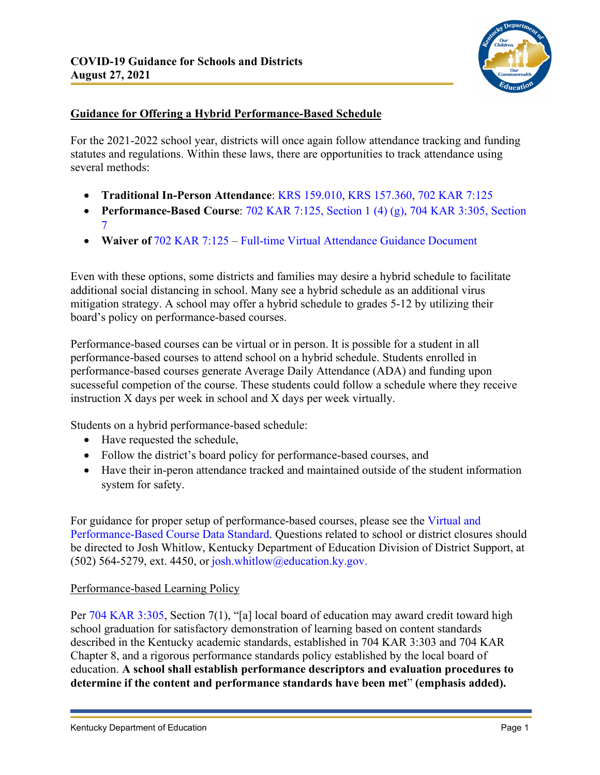

# **Guidance for Offering a Hybrid Performance-Based Schedule**

For the 2021-2022 school year, districts will once again follow attendance tracking and funding statutes and regulations. Within these laws, there are opportunities to track attendance using several methods:

- **Traditional In-Person Attendance**: [KRS 159.010,](https://apps.legislature.ky.gov/law/statutes/statute.aspx?id=46050) [KRS 157.360,](https://apps.legislature.ky.gov/law/statutes/statute.aspx?id=50934) [702 KAR 7:125](https://apps.legislature.ky.gov/law/kar/702/007/125.pdf)
- **Performance-Based Course**: [702 KAR 7:125, Section 1 \(4\) \(g\),](https://apps.legislature.ky.gov/law/kar/702/007/125.pdf) [704 KAR 3:305, Section](https://apps.legislature.ky.gov/law/kar/704/003/305.pdf)  [7](https://apps.legislature.ky.gov/law/kar/704/003/305.pdf)
- **Waiver of** [702 KAR 7:125](https://apps.legislature.ky.gov/law/kar/702/007/125.pdf) – [Full-time Virtual Attendance Guidance Document](https://education.ky.gov/districts/enrol/Documents/21-22%20Attendance%20for%20Virtual%20Students.pdf)

Even with these options, some districts and families may desire a hybrid schedule to facilitate additional social distancing in school. Many see a hybrid schedule as an additional virus mitigation strategy. A school may offer a hybrid schedule to grades 5-12 by utilizing their board's policy on performance-based courses.

Performance-based courses can be virtual or in person. It is possible for a student in all performance-based courses to attend school on a hybrid schedule. Students enrolled in performance-based courses generate Average Daily Attendance (ADA) and funding upon sucesseful competion of the course. These students could follow a schedule where they receive instruction X days per week in school and X days per week virtually.

Students on a hybrid performance-based schedule:

- Have requested the schedule,
- Follow the district's board policy for performance-based courses, and
- Have their in-peron attendance tracked and maintained outside of the student information system for safety.

For guidance for proper setup of performance-based courses, please see the [Virtual and](https://education.ky.gov/districts/tech/sis/Documents/VirtualandPerformanceTrainingDocument_.pdf)  [Performance-Based Course Data Standard.](https://education.ky.gov/districts/tech/sis/Documents/VirtualandPerformanceTrainingDocument_.pdf) Questions related to school or district closures should be directed to Josh Whitlow, Kentucky Department of Education Division of District Support, at (502) 564-5279, ext. 4450, or [josh.whitlow@education.ky.gov.](mailto:josh.whitlow@education.ky.gov)

## Performance-based Learning Policy

Per [704 KAR 3:305,](https://apps.legislature.ky.gov/law/kar/704/003/305.pdf) Section 7(1), "[a] local board of education may award credit toward high school graduation for satisfactory demonstration of learning based on content standards described in the Kentucky academic standards, established in 704 KAR 3:303 and 704 KAR Chapter 8, and a rigorous performance standards policy established by the local board of education. **A school shall establish performance descriptors and evaluation procedures to determine if the content and performance standards have been met**" **(emphasis added).**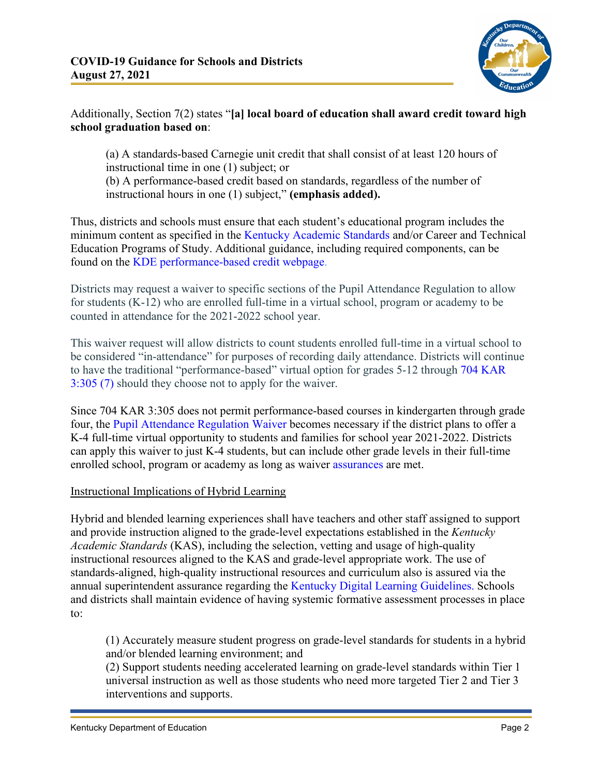

## Additionally, Section 7(2) states "**[a] local board of education shall award credit toward high school graduation based on**:

(a) A standards-based Carnegie unit credit that shall consist of at least 120 hours of instructional time in one (1) subject; or

(b) A performance-based credit based on standards, regardless of the number of instructional hours in one (1) subject," **(emphasis added).**

Thus, districts and schools must ensure that each student's educational program includes the minimum content as specified in the [Kentucky Academic Standards](https://education.ky.gov/curriculum/standards/kyacadstand/Pages/default.aspx) and/or Career and Technical Education Programs of Study. Additional guidance, including required components, can be found on the [KDE performance-based credit webpage.](https://education.ky.gov/educational/AL/pbc/Pages/default.aspx)

Districts may request a waiver to specific sections of the Pupil Attendance Regulation to allow for students (K-12) who are enrolled full-time in a virtual school, program or academy to be counted in attendance for the 2021-2022 school year.

This waiver request will allow districts to count students enrolled full-time in a virtual school to be considered "in-attendance" for purposes of recording daily attendance. Districts will continue to have the traditional "performance-based" virtual option for grades 5-12 through [704 KAR](https://apps.legislature.ky.gov/law/kar/704/003/305.pdf)  [3:305 \(7\)](https://apps.legislature.ky.gov/law/kar/704/003/305.pdf) should they choose not to apply for the waiver.

Since 704 KAR 3:305 does not permit performance-based courses in kindergarten through grade four, the [Pupil Attendance Regulation Waiver](https://education.ky.gov/school/diglrn/Pages/Kentucky-Virtual-Course-Providers.aspx) becomes necessary if the district plans to offer a K-4 full-time virtual opportunity to students and families for school year 2021-2022. Districts can apply this waiver to just K-4 students, but can include other grade levels in their full-time enrolled school, program or academy as long as waiver [assurances](https://education.ky.gov/districts/tech/Documents/Administrative%20Regulation%20Waiver%20-%20Pupil%20Attendance.pdf) are met.

## Instructional Implications of Hybrid Learning

Hybrid and blended learning experiences shall have teachers and other staff assigned to support and provide instruction aligned to the grade-level expectations established in the *Kentucky Academic Standards* (KAS), including the selection, vetting and usage of high-quality instructional resources aligned to the KAS and grade-level appropriate work. The use of standards-aligned, high-quality instructional resources and curriculum also is assured via the annual superintendent assurance regarding the [Kentucky Digital Learning Guidelines.](https://education.ky.gov/districts/tech/Documents/KYDLG.pdf) Schools and districts shall maintain evidence of having systemic formative assessment processes in place to:

(1) Accurately measure student progress on grade-level standards for students in a hybrid and/or blended learning environment; and

(2) Support students needing accelerated learning on grade-level standards within Tier 1 universal instruction as well as those students who need more targeted Tier 2 and Tier 3 interventions and supports.